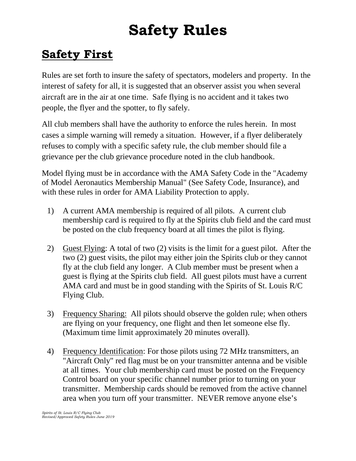## **Safety Rules**

## **Safety First**

Rules are set forth to insure the safety of spectators, modelers and property. In the interest of safety for all, it is suggested that an observer assist you when several aircraft are in the air at one time. Safe flying is no accident and it takes two people, the flyer and the spotter, to fly safely.

All club members shall have the authority to enforce the rules herein. In most cases a simple warning will remedy a situation. However, if a flyer deliberately refuses to comply with a specific safety rule, the club member should file a grievance per the club grievance procedure noted in the club handbook.

Model flying must be in accordance with the AMA Safety Code in the "Academy of Model Aeronautics Membership Manual" (See Safety Code, Insurance), and with these rules in order for AMA Liability Protection to apply.

- 1) A current AMA membership is required of all pilots. A current club membership card is required to fly at the Spirits club field and the card must be posted on the club frequency board at all times the pilot is flying.
- 2) Guest Flying: A total of two (2) visits is the limit for a guest pilot. After the two (2) guest visits, the pilot may either join the Spirits club or they cannot fly at the club field any longer. A Club member must be present when a guest is flying at the Spirits club field. All guest pilots must have a current AMA card and must be in good standing with the Spirits of St. Louis R/C Flying Club.
- 3) Frequency Sharing: All pilots should observe the golden rule; when others are flying on your frequency, one flight and then let someone else fly. (Maximum time limit approximately 20 minutes overall).
- 4) Frequency Identification: For those pilots using 72 MHz transmitters, an "Aircraft Only" red flag must be on your transmitter antenna and be visible at all times. Your club membership card must be posted on the Frequency Control board on your specific channel number prior to turning on your transmitter. Membership cards should be removed from the active channel area when you turn off your transmitter. NEVER remove anyone else's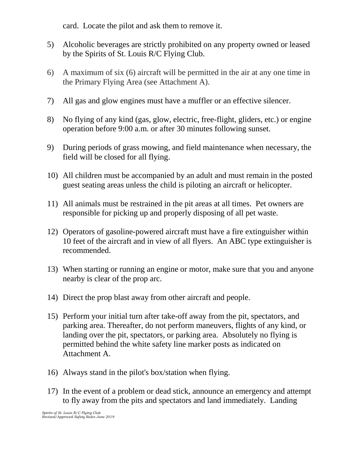card. Locate the pilot and ask them to remove it.

- 5) Alcoholic beverages are strictly prohibited on any property owned or leased by the Spirits of St. Louis R/C Flying Club.
- 6) A maximum of six (6) aircraft will be permitted in the air at any one time in the Primary Flying Area (see Attachment A).
- 7) All gas and glow engines must have a muffler or an effective silencer.
- 8) No flying of any kind (gas, glow, electric, free-flight, gliders, etc.) or engine operation before 9:00 a.m. or after 30 minutes following sunset.
- 9) During periods of grass mowing, and field maintenance when necessary, the field will be closed for all flying.
- 10) All children must be accompanied by an adult and must remain in the posted guest seating areas unless the child is piloting an aircraft or helicopter.
- 11) All animals must be restrained in the pit areas at all times. Pet owners are responsible for picking up and properly disposing of all pet waste.
- 12) Operators of gasoline-powered aircraft must have a fire extinguisher within 10 feet of the aircraft and in view of all flyers. An ABC type extinguisher is recommended.
- 13) When starting or running an engine or motor, make sure that you and anyone nearby is clear of the prop arc.
- 14) Direct the prop blast away from other aircraft and people.
- 15) Perform your initial turn after take-off away from the pit, spectators, and parking area. Thereafter, do not perform maneuvers, flights of any kind, or landing over the pit, spectators, or parking area. Absolutely no flying is permitted behind the white safety line marker posts as indicated on Attachment A.
- 16) Always stand in the pilot's box/station when flying.
- 17) In the event of a problem or dead stick, announce an emergency and attempt to fly away from the pits and spectators and land immediately. Landing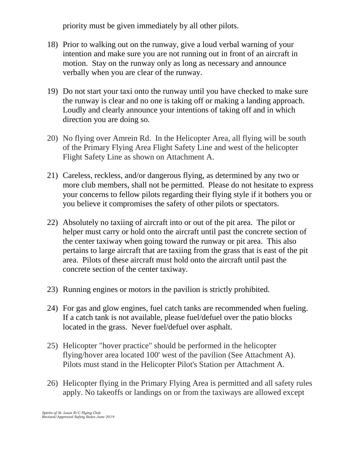priority must be given immediately by all other pilots.

- 18) Prior to walking out on the runway, give a loud verbal warning of your intention and make sure you are not running out in front of an aircraft in motion. Stay on the runway only as long as necessary and announce verbally when you are clear of the runway.
- 19) Do not start your taxi onto the runway until you have checked to make sure the runway is clear and no one is taking off or making a landing approach. Loudly and clearly announce your intentions of taking off and in which direction you are doing so.
- 20) No flying over Amrein Rd. In the Helicopter Area, all flying will be south of the Primary Flying Area Flight Safety Line and west of the helicopter Flight Safety Line as shown on Attachment A.
- 21) Careless, reckless, and/or dangerous flying, as determined by any two or more club members, shall not be permitted. Please do not hesitate to express your concerns to fellow pilots regarding their flying style if it bothers you or you believe it compromises the safety of other pilots or spectators.
- 22) Absolutely no taxiing of aircraft into or out of the pit area. The pilot or helper must carry or hold onto the aircraft until past the concrete section of the center taxiway when going toward the runway or pit area. This also pertains to large aircraft that are taxiing from the grass that is east of the pit area. Pilots of these aircraft must hold onto the aircraft until past the concrete section of the center taxiway.
- 23) Running engines or motors in the pavilion is strictly prohibited.
- 24) For gas and glow engines, fuel catch tanks are recommended when fueling. If a catch tank is not available, please fuel/defuel over the patio blocks located in the grass. Never fuel/defuel over asphalt.
- 25) Helicopter "hover practice" should be performed in the helicopter flying/hover area located 100' west of the pavilion (See Attachment A). Pilots must stand in the Helicopter Pilot's Station per Attachment A.
- 26) Helicopter flying in the Primary Flying Area is permitted and all safety rules apply. No takeoffs or landings on or from the taxiways are allowed except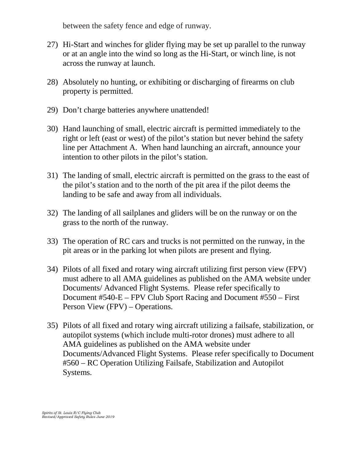between the safety fence and edge of runway.

- 27) Hi-Start and winches for glider flying may be set up parallel to the runway or at an angle into the wind so long as the Hi-Start, or winch line, is not across the runway at launch.
- 28) Absolutely no hunting, or exhibiting or discharging of firearms on club property is permitted.
- 29) Don't charge batteries anywhere unattended!
- 30) Hand launching of small, electric aircraft is permitted immediately to the right or left (east or west) of the pilot's station but never behind the safety line per Attachment A. When hand launching an aircraft, announce your intention to other pilots in the pilot's station.
- 31) The landing of small, electric aircraft is permitted on the grass to the east of the pilot's station and to the north of the pit area if the pilot deems the landing to be safe and away from all individuals.
- 32) The landing of all sailplanes and gliders will be on the runway or on the grass to the north of the runway.
- 33) The operation of RC cars and trucks is not permitted on the runway, in the pit areas or in the parking lot when pilots are present and flying.
- 34) Pilots of all fixed and rotary wing aircraft utilizing first person view (FPV) must adhere to all AMA guidelines as published on the AMA website under Documents/ Advanced Flight Systems. Please refer specifically to Document #540-E – FPV Club Sport Racing and Document #550 – First Person View (FPV) – Operations.
- 35) Pilots of all fixed and rotary wing aircraft utilizing a failsafe, stabilization, or autopilot systems (which include multi-rotor drones) must adhere to all AMA guidelines as published on the AMA website under Documents/Advanced Flight Systems. Please refer specifically to Document #560 – RC Operation Utilizing Failsafe, Stabilization and Autopilot Systems.